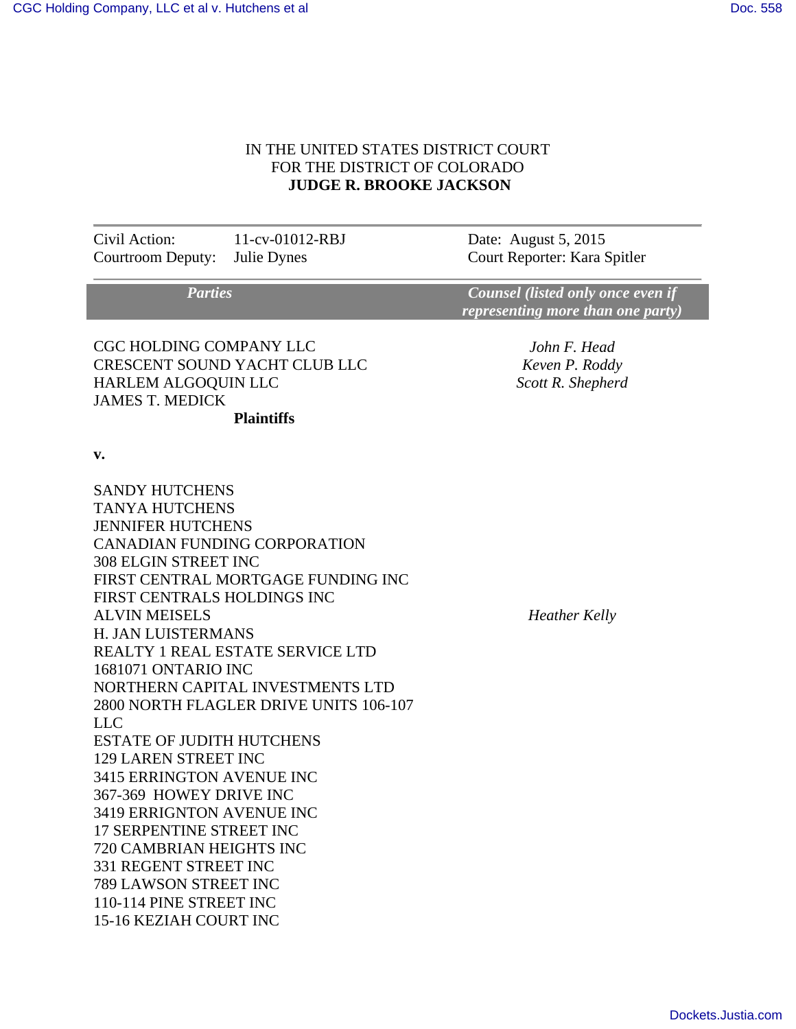## IN THE UNITED STATES DISTRICT COURT FOR THE DISTRICT OF COLORADO  **JUDGE R. BROOKE JACKSON**

Civil Action: 11-cv-01012-RBJ Date: August 5, 2015 Courtroom Deputy: Julie Dynes Court Reporter: Kara Spitler

 *Parties Counsel (listed only once even if representing more than one party)* 

CGC HOLDING COMPANY LLC CRESCENT SOUND YACHT CLUB LLC HARLEM ALGOQUIN LLC JAMES T. MEDICK  **Plaintiffs**

*John F. Head Keven P. Roddy Scott R. Shepherd* 

**v.** 

SANDY HUTCHENS TANYA HUTCHENS JENNIFER HUTCHENS CANADIAN FUNDING CORPORATION 308 ELGIN STREET INC FIRST CENTRAL MORTGAGE FUNDING INC FIRST CENTRALS HOLDINGS INC ALVIN MEISELS H. JAN LUISTERMANS REALTY 1 REAL ESTATE SERVICE LTD 1681071 ONTARIO INC NORTHERN CAPITAL INVESTMENTS LTD 2800 NORTH FLAGLER DRIVE UNITS 106-107 LLC ESTATE OF JUDITH HUTCHENS 129 LAREN STREET INC 3415 ERRINGTON AVENUE INC 367-369 HOWEY DRIVE INC 3419 ERRIGNTON AVENUE INC 17 SERPENTINE STREET INC 720 CAMBRIAN HEIGHTS INC 331 REGENT STREET INC 789 LAWSON STREET INC 110-114 PINE STREET INC 15-16 KEZIAH COURT INC

*Heather Kelly*